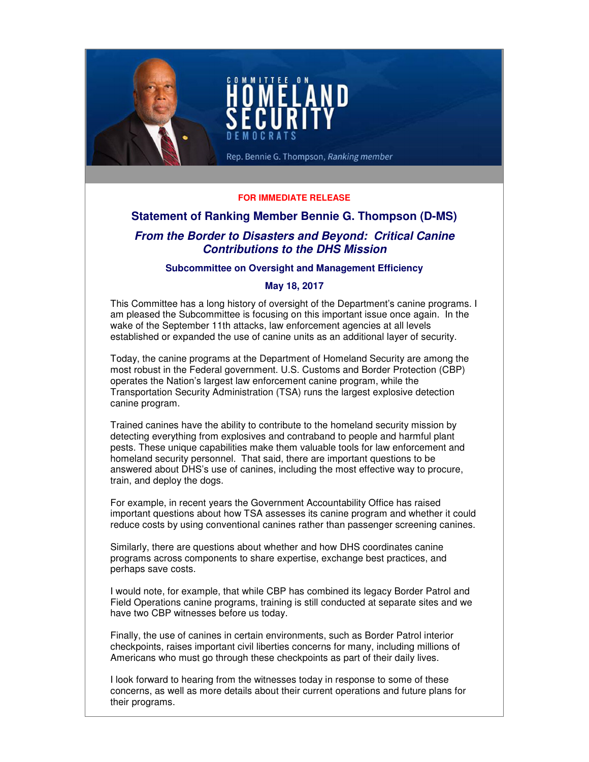

## **FOR IMMEDIATE RELEASE**

# **Statement of Ranking Member Bennie G. Thompson (D-MS)**

# **From the Border to Disasters and Beyond: Critical Canine Contributions to the DHS Mission**

#### **Subcommittee on Oversight and Management Efficiency**

## **May 18, 2017**

This Committee has a long history of oversight of the Department's canine programs. I am pleased the Subcommittee is focusing on this important issue once again. In the wake of the September 11th attacks, law enforcement agencies at all levels established or expanded the use of canine units as an additional layer of security.

Today, the canine programs at the Department of Homeland Security are among the most robust in the Federal government. U.S. Customs and Border Protection (CBP) operates the Nation's largest law enforcement canine program, while the Transportation Security Administration (TSA) runs the largest explosive detection canine program.

Trained canines have the ability to contribute to the homeland security mission by detecting everything from explosives and contraband to people and harmful plant pests. These unique capabilities make them valuable tools for law enforcement and homeland security personnel. That said, there are important questions to be answered about DHS's use of canines, including the most effective way to procure, train, and deploy the dogs.

For example, in recent years the Government Accountability Office has raised important questions about how TSA assesses its canine program and whether it could reduce costs by using conventional canines rather than passenger screening canines.

Similarly, there are questions about whether and how DHS coordinates canine programs across components to share expertise, exchange best practices, and perhaps save costs.

I would note, for example, that while CBP has combined its legacy Border Patrol and Field Operations canine programs, training is still conducted at separate sites and we have two CBP witnesses before us today.

Finally, the use of canines in certain environments, such as Border Patrol interior checkpoints, raises important civil liberties concerns for many, including millions of Americans who must go through these checkpoints as part of their daily lives.

I look forward to hearing from the witnesses today in response to some of these concerns, as well as more details about their current operations and future plans for their programs.